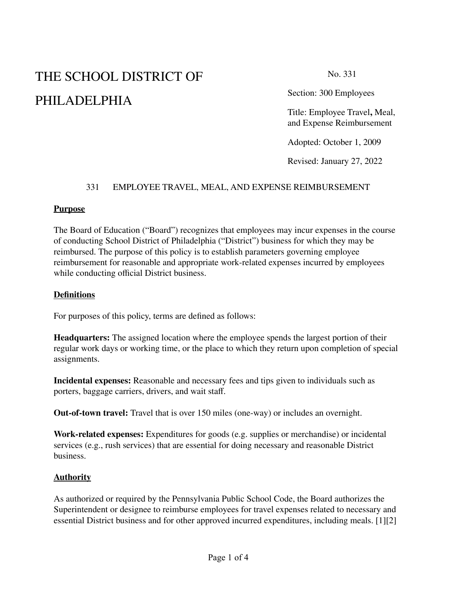# THE SCHOOL DISTRICT OF PHILADELPHIA

No. 331

Section: 300 Employees

Title: Employee Travel**,** Meal, and Expense Reimbursement

Adopted: October 1, 2009

Revised: January 27, 2022

## 331 EMPLOYEE TRAVEL, MEAL, AND EXPENSE REIMBURSEMENT

#### **Purpose**

The Board of Education ("Board") recognizes that employees may incur expenses in the course of conducting School District of Philadelphia ("District") business for which they may be reimbursed. The purpose of this policy is to establish parameters governing employee reimbursement for reasonable and appropriate work-related expenses incurred by employees while conducting official District business.

#### **Definitions**

For purposes of this policy, terms are defined as follows:

**Headquarters:** The assigned location where the employee spends the largest portion of their regular work days or working time, or the place to which they return upon completion of special assignments.

**Incidental expenses:** Reasonable and necessary fees and tips given to individuals such as porters, baggage carriers, drivers, and wait staff.

**Out-of-town travel:** Travel that is over 150 miles (one-way) or includes an overnight.

**Work-related expenses:** Expenditures for goods (e.g. supplies or merchandise) or incidental services (e.g., rush services) that are essential for doing necessary and reasonable District business.

## **Authority**

As authorized or required by the Pennsylvania Public School Code, the Board authorizes the Superintendent or designee to reimburse employees for travel expenses related to necessary and essential District business and for other approved incurred expenditures, including meals. [1][2]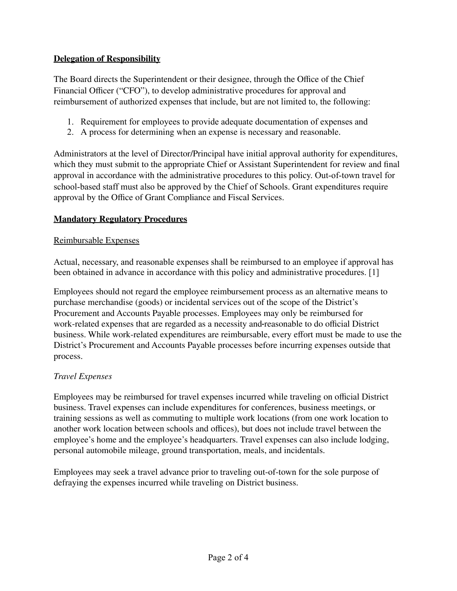## **Delegation of Responsibility**

The Board directs the Superintendent or their designee, through the Office of the Chief Financial Officer ("CFO"), to develop administrative procedures for approval and reimbursement of authorized expenses that include, but are not limited to, the following:

- 1. Requirement for employees to provide adequate documentation of expenses and
- 2. A process for determining when an expense is necessary and reasonable.

Administrators at the level of Director/Principal have initial approval authority for expenditures, which they must submit to the appropriate Chief or Assistant Superintendent for review and final approval in accordance with the administrative procedures to this policy. Out-of-town travel for school-based staff must also be approved by the Chief of Schools. Grant expenditures require approval by the Office of Grant Compliance and Fiscal Services.

## **Mandatory Regulatory Procedures**

#### Reimbursable Expenses

Actual, necessary, and reasonable expenses shall be reimbursed to an employee if approval has been obtained in advance in accordance with this policy and administrative procedures. [1]

Employees should not regard the employee reimbursement process as an alternative means to purchase merchandise (goods) or incidental services out of the scope of the District's Procurement and Accounts Payable processes. Employees may only be reimbursed for work-related expenses that are regarded as a necessity and reasonable to do official District business. While work-related expenditures are reimbursable, every effort must be made to use the District's Procurement and Accounts Payable processes before incurring expenses outside that process.

## *Travel Expenses*

Employees may be reimbursed for travel expenses incurred while traveling on official District business. Travel expenses can include expenditures for conferences, business meetings, or training sessions as well as commuting to multiple work locations (from one work location to another work location between schools and offices), but does not include travel between the employee's home and the employee's headquarters. Travel expenses can also include lodging, personal automobile mileage, ground transportation, meals, and incidentals.

Employees may seek a travel advance prior to traveling out-of-town for the sole purpose of defraying the expenses incurred while traveling on District business.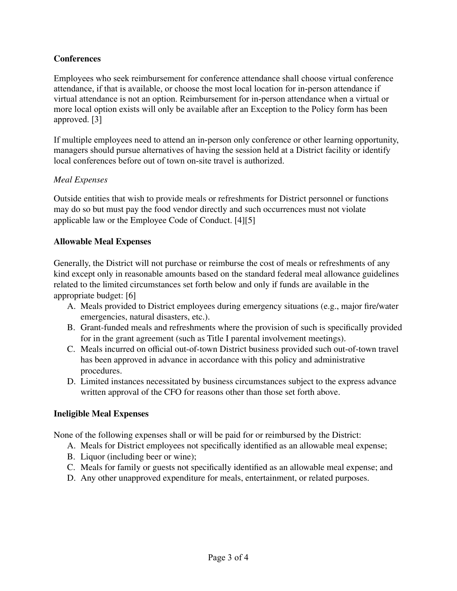## **Conferences**

Employees who seek reimbursement for conference attendance shall choose virtual conference attendance, if that is available, or choose the most local location for in-person attendance if virtual attendance is not an option. Reimbursement for in-person attendance when a virtual or more local option exists will only be available after an Exception to the Policy form has been approved. [3]

If multiple employees need to attend an in-person only conference or other learning opportunity, managers should pursue alternatives of having the session held at a District facility or identify local conferences before out of town on-site travel is authorized.

## *Meal Expenses*

Outside entities that wish to provide meals or refreshments for District personnel or functions may do so but must pay the food vendor directly and such occurrences must not violate applicable law or the Employee Code of Conduct. [4][5]

## **Allowable Meal Expenses**

Generally, the District will not purchase or reimburse the cost of meals or refreshments of any kind except only in reasonable amounts based on the standard federal meal allowance guidelines related to the limited circumstances set forth below and only if funds are available in the appropriate budget: [6]

- A. Meals provided to District employees during emergency situations (e.g., major fire/water emergencies, natural disasters, etc.).
- B. Grant-funded meals and refreshments where the provision of such is specifically provided for in the grant agreement (such as Title I parental involvement meetings).
- C. Meals incurred on official out-of-town District business provided such out-of-town travel has been approved in advance in accordance with this policy and administrative procedures.
- D. Limited instances necessitated by business circumstances subject to the express advance written approval of the CFO for reasons other than those set forth above.

## **Ineligible Meal Expenses**

None of the following expenses shall or will be paid for or reimbursed by the District:

- A. Meals for District employees not specifically identified as an allowable meal expense;
- B. Liquor (including beer or wine);
- C. Meals for family or guests not specifically identified as an allowable meal expense; and
- D. Any other unapproved expenditure for meals, entertainment, or related purposes.